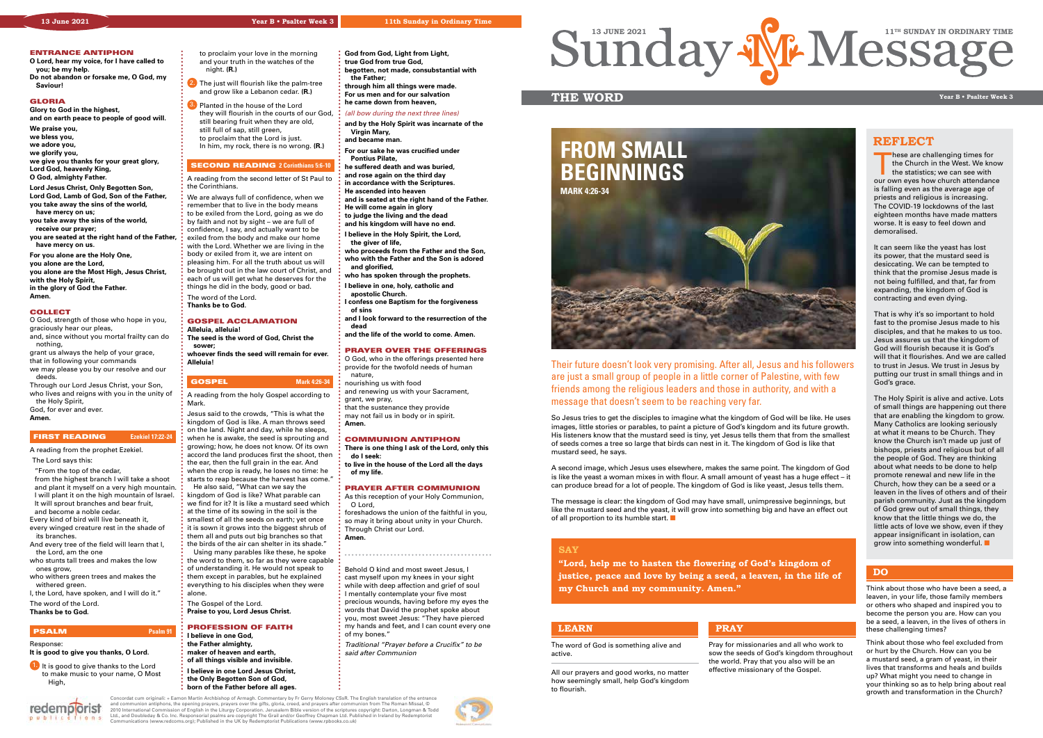# **THE WORD Year B • Psalter Week 3**

ENTRANCE ANTIPHON

**O Lord, hear my voice, for I have called to you; be my help. Do not abandon or forsake me, O God, my** 

**Saviour!**

### GLORIA

**Glory to God in the highest, and on earth peace to people of good will.**

# **We praise you,**

**we bless you, we adore you, we glorify you, we give you thanks for your great glory, Lord God, heavenly King,**

**O God, almighty Father.**

**Lord Jesus Christ, Only Begotten Son, Lord God, Lamb of God, Son of the Father, you take away the sins of the world,** 

**have mercy on us;**

**you take away the sins of the world, receive our prayer;**

**you are seated at the right hand of the Father, have mercy on us.**

**For you alone are the Holy One,**

**you alone are the Lord,**

2. The just will flourish like the palm-tree and grow like a Lebanon cedar. **(R.)**

**you alone are the Most High, Jesus Christ, with the Holy Spirit,**

**in the glory of God the Father.**

**Amen.**

#### **COLLECT**

**3.** Planted in the house of the Lord they will flourish in the courts of our God, still bearing fruit when they are old, still full of sap, still green, to proclaim that the Lord is just. In him, my rock, there is no wrong. **(R.)**

# **SECOND READING 2 Corinthians 5:6-10**

O God, strength of those who hope in you, graciously hear our pleas, and, since without you mortal frailty can do

nothing,

grant us always the help of your grace, that in following your commands

we may please you by our resolve and our deeds.

Through our Lord Jesus Christ, your Son, who lives and reigns with you in the unity of

the Holy Spirit, God, for ever and ever.

**Amen.**

## FIRST READING **Ezekiel 17:22-24**

A reading from the prophet Ezekiel.

The Lord says this:

"From the top of the cedar, from the highest branch I will take a shoot and plant it myself on a very high mountain. I will plant it on the high mountain of Israel. It will sprout branches and bear fruit, and become a noble cedar. Every kind of bird will live beneath it,

every winged creature rest in the shade of its branches.

And every tree of the field will learn that I, the Lord, am the one

who stunts tall trees and makes the low ones grow,

who withers green trees and makes the withered green.

I, the Lord, have spoken, and I will do it."

The word of the Lord. **Thanks be to God.** 

redemporist

# **PSALM** Psalm 91

Response: **It is good to give you thanks, O Lord.**

**1.** It is good to give thanks to the Lord to make music to your name, O Most High



A reading from the second letter of St Paul to the Corinthians.

We are always full of confidence, when we remember that to live in the body means to be exiled from the Lord, going as we do by faith and not by sight – we are full of confidence, I say, and actually want to be exiled from the body and make our home with the Lord. Whether we are living in the body or exiled from it, we are intent on pleasing him. For all the truth about us will be brought out in the law court of Christ, and each of us will get what he deserves for the things he did in the body, good or bad.

> Behold O kind and most sweet, lesus, I cast myself upon my knees in your sight while with deep affection and grief of soul I mentally contemplate your five most precious wounds, having before my eyes the words that David the prophet spoke about you, most sweet Jesus: "They have pierced my hands and feet, and I can count every one of my bones."

The word of the Lord.

**Thanks be to God.**

#### GOSPEL ACCLAMATION

**Alleluia, alleluia! The seed is the word of God, Christ the sower;**

**whoever finds the seed will remain for ever. Alleluia!**

## GOSPEL **Mark 4:26-34**

A reading from the holy Gospel according to Mark.

Jesus said to the crowds, "This is what the kingdom of God is like. A man throws seed on the land. Night and day, while he sleeps, when he is awake, the seed is sprouting and growing; how, he does not know. Of its own accord the land produces first the shoot, then the ear, then the full grain in the ear. And when the crop is ready, he loses no time: he starts to reap because the harvest has come." He also said, "What can we say the kingdom of God is like? What parable can we find for it? It is like a mustard seed which

The message is clear: the kingdom of God may have small, unimpressive beginnings, but like the mustard seed and the yeast, it will grow into something big and have an effect out of all proportion to its humble start.  $\blacksquare$ 

These are challenging times for the Church in the West. We know the statistics; we can see with our own eyes how church attendance is falling even as the average age of priests and religious is increasing. The COVID-19 lockdowns of the last eighteen months have made matters worse. It is easy to feel down and demoralised.

at the time of its sowing in the soil is the smallest of all the seeds on earth; yet once it is sown it grows into the biggest shrub of them all and puts out big branches so that the birds of the air can shelter in its shade." Using many parables like these, he spoke the word to them, so far as they were capable of understanding it. He would not speak to them except in parables, but he explained everything to his disciples when they were alone.

That is why it's so important to hold fast to the promise Jesus made to his disciples, and that he makes to us too. Jesus assures us that the kingdom of God will flourish because it is God's will that it flourishes. And we are called to trust in Jesus. We trust in Jesus by putting our trust in small things and in God's grace.

The Holy Spirit is alive and active. Lots of small things are happening out there that are enabling the kingdom to grow. Many Catholics are looking seriously at what it means to be Church. They know the Church isn't made up just of bishops, priests and religious but of all the people of God. They are thinking about what needs to be done to help promote renewal and new life in the Church, how they can be a seed or a leaven in the lives of others and of their parish community. Just as the kingdom of God grew out of small things, they know that the little things we do, the little acts of love we show, even if they appear insignificant in isolation, can grow into something wonderful.  $\blacksquare$ 

The Gospel of the Lord. **Praise to you, Lord Jesus Christ.**

## PROFESSION OF FAITH

- **I believe in one God, the Father almighty, maker of heaven and earth,**
- **of all things visible and invisible.**
- **I believe in one Lord Jesus Christ,**
- **the Only Begotten Son of God,**
- Concordat cum originali: + Eamon Martin Archbishop of Armagh. Commentary by Fr Gerry Moloney CSsR. The English translation of the entrance **born of the Father before all ages.**

and communion antiphons, the opening prayers, prayers over the gifts, gloria, creed, and prayers after communion from The Roman Missal, ©<br>2010 International Commission of English in the Liturgy Corporation. Jerusalem Bible

**God from God, Light from Light, true God from true God, begotten, not made, consubstantial with the Father;**

**through him all things were made. For us men and for our salvation he came down from heaven,**

# *(all bow during the next three lines)*

**and by the Holy Spirit was incarnate of the Virgin Mary, and became man.**

**For our sake he was crucified under Pontius Pilate,**

**he suffered death and was buried, and rose again on the third day in accordance with the Scriptures. He ascended into heaven and is seated at the right hand of the Father.**

**He will come again in glory to judge the living and the dead and his kingdom will have no end.**

**I believe in the Holy Spirit, the Lord,** 

**the giver of life, who proceeds from the Father and the Son, who with the Father and the Son is adored** 

**and glorified, who has spoken through the prophets.**

**I believe in one, holy, catholic and apostolic Church.**

**I confess one Baptism for the forgiveness of sins**

**and I look forward to the resurrection of the dead** 

**and the life of the world to come. Amen.**

#### PRAYER OVER THE OFFERINGS

O God, who in the offerings presented here provide for the twofold needs of human nature,

nourishing us with food and renewing us with your Sacrament, grant, we pray, that the sustenance they provide

may not fail us in body or in spirit. **Amen.**

#### COMMUNION ANTIPHON

**There is one thing I ask of the Lord, only this do I seek:**

**to live in the house of the Lord all the days of my life.**

#### PRAYER AFTER COMMUNION

As this reception of your Holy Communion, O Lord,

foreshadows the union of the faithful in you, so may it bring about unity in your Church. Through Christ our Lord. **Amen.**

Think about those who have been a seed, a leaven, in your life, those family members or others who shaped and inspired you to become the person you are. How can you be a seed, a leaven, in the lives of others in these challenging times?

Think about those who feel excluded from or hurt by the Church. How can you be a mustard seed, a gram of yeast, in their lives that transforms and heals and builds up? What might you need to change in your thinking so as to help bring about real growth and transformation in the Church?

# **DO**

Their future doesn't look very promising. After all, Jesus and his followers are just a small group of people in a little corner of Palestine, with few friends among the religious leaders and those in authority, and with a message that doesn't seem to be reaching very far.

So Jesus tries to get the disciples to imagine what the kingdom of God will be like. He uses images, little stories or parables, to paint a picture of God's kingdom and its future growth. His listeners know that the mustard seed is tiny, yet Jesus tells them that from the smallest of seeds comes a tree so large that birds can nest in it. The kingdom of God is like that mustard seed, he says.

A second image, which Jesus uses elsewhere, makes the same point. The kingdom of God is like the yeast a woman mixes in with flour. A small amount of yeast has a huge effect – it can produce bread for a lot of people. The kingdom of God is like yeast, Jesus tells them.



It can seem like the yeast has lost its power, that the mustard seed is desiccating. We can be tempted to think that the promise Jesus made is not being fulfilled, and that, far from expanding, the kingdom of God is contracting and even dying.



# **SAY**

**"Lord, help me to hasten the flowering of God's kingdom of justice, peace and love by being a seed, a leaven, in the life of my Church and my community. Amen."** 

# **LEARN PRAY**

Pray for missionaries and all who work to sow the seeds of God's kingdom throughout the world. Pray that you also will be an effective missionary of the Gospel.

to flourish.

# Sunday W. MeSSage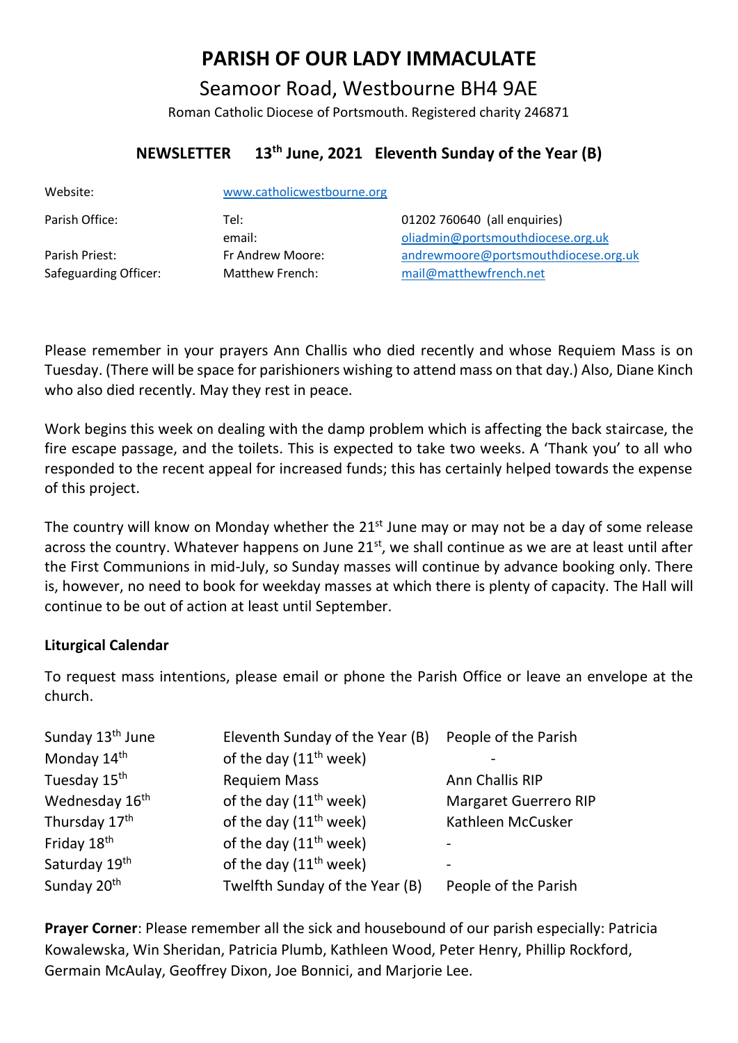# **PARISH OF OUR LADY IMMACULATE**

Seamoor Road, Westbourne BH4 9AE

Roman Catholic Diocese of Portsmouth. Registered charity 246871

# **NEWSLETTER 13th June, 2021 Eleventh Sunday of the Year (B)**

| Website:              | www.catholicwestbourne.org |                                      |
|-----------------------|----------------------------|--------------------------------------|
| Parish Office:        | Tel:                       | 01202 760640 (all enquiries)         |
|                       | email:                     | oliadmin@portsmouthdiocese.org.uk    |
| Parish Priest:        | Fr Andrew Moore:           | andrewmoore@portsmouthdiocese.org.uk |
| Safeguarding Officer: | Matthew French:            | mail@matthewfrench.net               |

Please remember in your prayers Ann Challis who died recently and whose Requiem Mass is on Tuesday. (There will be space for parishioners wishing to attend mass on that day.) Also, Diane Kinch who also died recently. May they rest in peace.

Work begins this week on dealing with the damp problem which is affecting the back staircase, the fire escape passage, and the toilets. This is expected to take two weeks. A 'Thank you' to all who responded to the recent appeal for increased funds; this has certainly helped towards the expense of this project.

The country will know on Monday whether the  $21<sup>st</sup>$  June may or may not be a day of some release across the country. Whatever happens on June 21<sup>st</sup>, we shall continue as we are at least until after the First Communions in mid-July, so Sunday masses will continue by advance booking only. There is, however, no need to book for weekday masses at which there is plenty of capacity. The Hall will continue to be out of action at least until September.

# **Liturgical Calendar**

To request mass intentions, please email or phone the Parish Office or leave an envelope at the church.

| Sunday 13 <sup>th</sup> June | Eleventh Sunday of the Year (B)    | People of the Parish         |
|------------------------------|------------------------------------|------------------------------|
| Monday 14 <sup>th</sup>      | of the day $(11th$ week)           |                              |
| Tuesday 15 <sup>th</sup>     | <b>Requiem Mass</b>                | Ann Challis RIP              |
| Wednesday 16 <sup>th</sup>   | of the day (11 <sup>th</sup> week) | <b>Margaret Guerrero RIP</b> |
| Thursday 17 <sup>th</sup>    | of the day $(11th$ week)           | Kathleen McCusker            |
| Friday 18 <sup>th</sup>      | of the day $(11th$ week)           | $\overline{\phantom{a}}$     |
| Saturday 19th                | of the day (11 <sup>th</sup> week) |                              |
| Sunday 20 <sup>th</sup>      | Twelfth Sunday of the Year (B)     | People of the Parish         |

**Prayer Corner**: Please remember all the sick and housebound of our parish especially: Patricia Kowalewska, Win Sheridan, Patricia Plumb, Kathleen Wood, Peter Henry, Phillip Rockford, Germain McAulay, Geoffrey Dixon, Joe Bonnici, and Marjorie Lee.